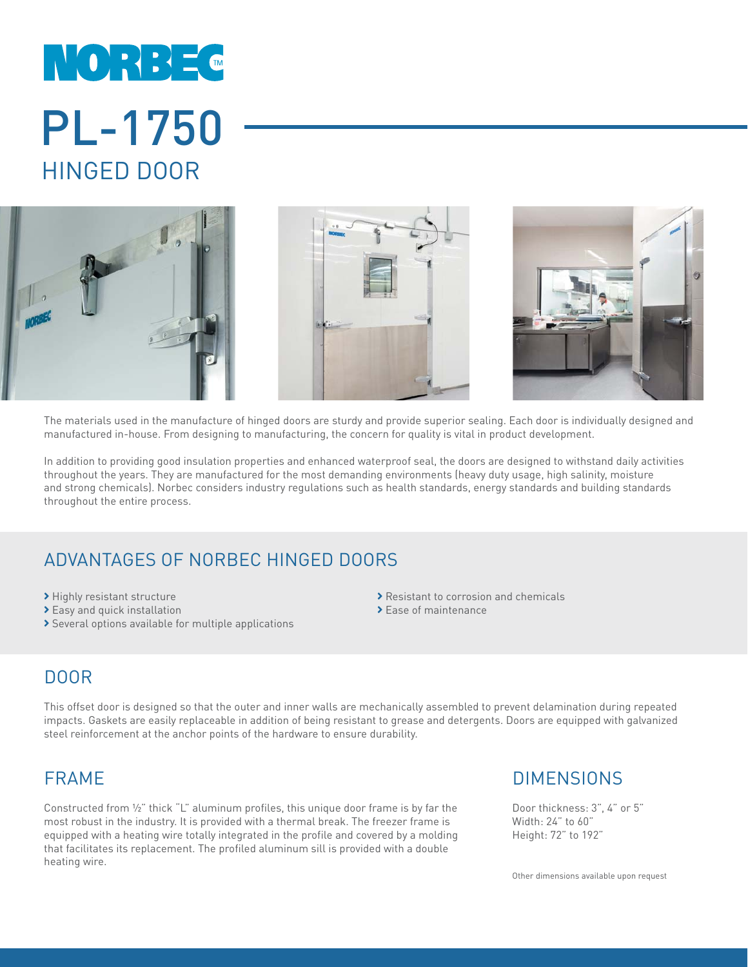



The materials used in the manufacture of hinged doors are sturdy and provide superior sealing. Each door is individually designed and manufactured in-house. From designing to manufacturing, the concern for quality is vital in product development.

In addition to providing good insulation properties and enhanced waterproof seal, the doors are designed to withstand daily activities throughout the years. They are manufactured for the most demanding environments (heavy duty usage, high salinity, moisture and strong chemicals). Norbec considers industry regulations such as health standards, energy standards and building standards throughout the entire process.

# ADVANTAGES OF NORBEC HINGED DOORS

- > Highly resistant structure
- Easy and quick installation
- Several options available for multiple applications
- Resistant to corrosion and chemicals
- > Ease of maintenance

### DOOR

This offset door is designed so that the outer and inner walls are mechanically assembled to prevent delamination during repeated impacts. Gaskets are easily replaceable in addition of being resistant to grease and detergents. Doors are equipped with galvanized steel reinforcement at the anchor points of the hardware to ensure durability.

### FRAME

Constructed from ½" thick "L" aluminum profiles, this unique door frame is by far the most robust in the industry. It is provided with a thermal break. The freezer frame is equipped with a heating wire totally integrated in the profile and covered by a molding that facilitates its replacement. The profiled aluminum sill is provided with a double heating wire.

### **DIMENSIONS**

Door thickness: 3", 4" or 5" Width: 24" to 60" Height: 72" to 192"